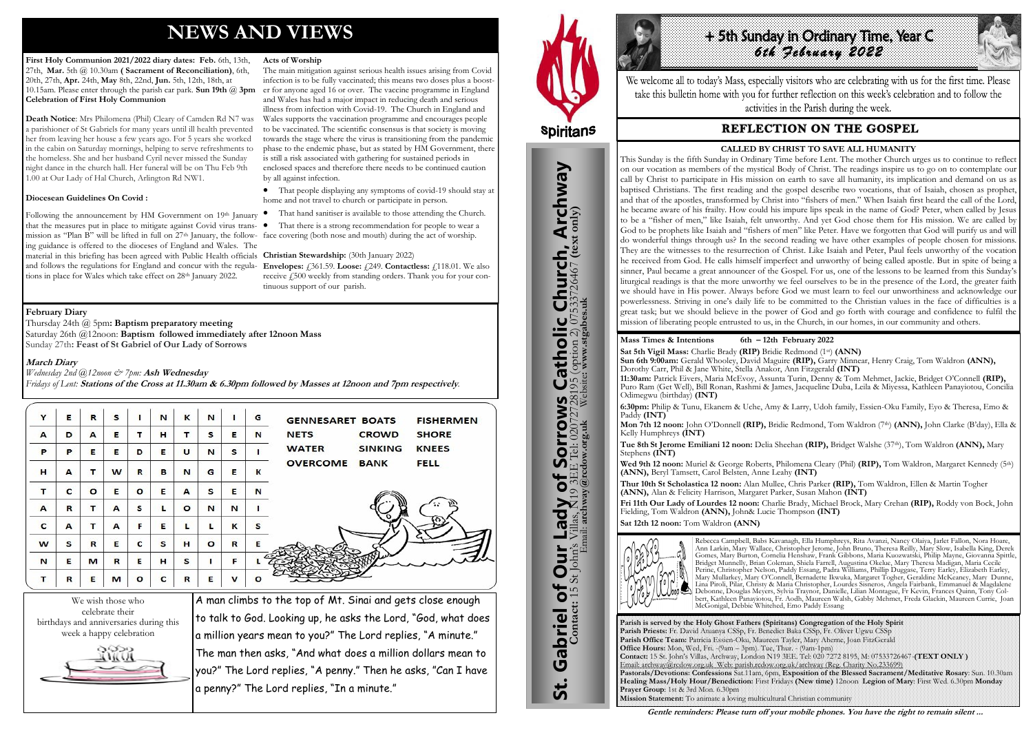# **NEWS AND VIEWS**

First Holy Communion 2021/2022 diary dates: Feb. 6th, 13th, 27th, **Mar.** 5th @ 10.30am **( Sacrament of Reconciliation)**, 6th, 20th, 27th, **Apr.** 24th, **May** 8th, 22nd, **Jun.** 5th, 12th, 18th, at 10.15am. Please enter through the parish car park. **Sun 19th** @ **3pm Celebration of First Holy Communion**

Following the announcement by HM Government on 19th January that the measures put in place to mitigate against Covid virus transmission as "Plan B" will be lifted in full on 27th January, the follow-face covering (both nose and mouth) during the act of worship. ing guidance is offered to the dioceses of England and Wales. The material in this briefing has been agreed with Public Health officials and follows the regulations for England and concur with the regula-**Envelopes:** £361.59. **Loose:** £249. **Contactless:** £118.01. We also tions in place for Wales which take effect on 28<sup>th</sup> January 2022.

**Death Notice**: Mrs Philomena (Phil) Cleary of Camden Rd N7 was a parishioner of St Gabriels for many years until ill health prevented her from leaving her house a few years ago. For 5 years she worked in the cabin on Saturday mornings, helping to serve refreshments to the homeless. She and her husband Cyril never missed the Sunday night dance in the church hall. Her funeral will be on Thu Feb 9th 1.00 at Our Lady of Hal Church, Arlington Rd NW1.

#### **Diocesean Guidelines On Covid :**

#### **Acts of Worship**

receive £500 weekly from standing orders. Thank you for your continuous support of our parish.

We wish those who celebrate their birthdays and anniversaries during this week a happy celebration



The main mitigation against serious health issues arising from Covid infection is to be fully vaccinated; this means two doses plus a booster for anyone aged 16 or over. The vaccine programme in England and Wales has had a major impact in reducing death and serious illness from infection with Covid-19. The Church in England and Wales supports the vaccination programme and encourages people to be vaccinated. The scientific consensus is that society is moving towards the stage where the virus is transitioning from the pandemic phase to the endemic phase, but as stated by HM Government, there is still a risk associated with gathering for sustained periods in enclosed spaces and therefore there needs to be continued caution by all against infection.

+ 5th Sunday In Ordinary Time, Year C *6th February 2022* 

We welcome all to today's Mass, especially visitors who are celebrating with us for the first time. Please take this bulletin home with you for further reflection on this week's celebration and to follow the activities in the Parish during the week.

# **REFLECTION ON THE GOSPEL**

 That people displaying any symptoms of covid-19 should stay at home and not travel to church or participate in person.

- That hand sanitiser is available to those attending the Church.
- That there is a strong recommendation for people to wear a

#### **Christian Stewardship:** (30th January 2022)

A man climbs to the top of Mt. Sinai and gets close enough to talk to God. Looking up, he asks the Lord, "God, what does a million years mean to you?" The Lord replies, "A minute." The man then asks, "And what does a million dollars mean to you?" The Lord replies, "A penny." Then he asks, "Can I have a penny?" The Lord replies, "In a minute."



### **February Diary**

Thursday 24th @ 5pm**: Baptism preparatory meeting**  Saturday 26th @12noon: **Baptism followed immediately after 12noon Mass** Sunday 27th**: Feast of St Gabriel of Our Lady of Sorrows**

**March Diary** 

*Wednesday 2nd @12noon & 7pm:* **Ash Wednesday**

*Fridays of Lent:* **Stations of the Cross at 11.30am & 6.30pm followed by Masses at 12noon and 7pm respectively***.*

| Y | Е | R       | s |         | N | к       | N       | ٠            | G       | <b>GENNESARET BOATS</b><br><b>FISHERMEN</b>    |
|---|---|---------|---|---------|---|---------|---------|--------------|---------|------------------------------------------------|
| A | D | A       | E | т       | н | т       | S       | Е            | N       | <b>SHORE</b><br><b>NETS</b><br><b>CROWD</b>    |
| P | P | Е       | Е | D       | Е | U       | N       | s            |         | <b>WATER</b><br><b>KNEES</b><br><b>SINKING</b> |
| н | A | т       | W | R       | в | N       | G       | E            | к       | <b>OVERCOME</b><br><b>FELL</b><br><b>BANK</b>  |
| т | C | $\circ$ | Е | $\circ$ | Е | A       | s       | E            | N       |                                                |
| A | R | т       | A | s       | L | $\circ$ | N       | N            |         |                                                |
| c | A | т       | A | F       | E | L       | L       | K            | s       |                                                |
| W | S | R       | E | c       | s | н       | $\circ$ | $\mathbb{R}$ | E       |                                                |
| N | E | м       | R | Е       | н | s       |         | F            |         |                                                |
| т | R | Е       | м | $\circ$ | c | R       | Е       | $\mathbf{v}$ | $\circ$ |                                                |

**Parish is served by the Holy Ghost Fathers (Spiritans) Congregation of the Holy Spirit Parish Priests:** Fr. David Atuanya CSSp, Fr. Benedict Baka CSSp, Fr. Oliver Ugwu CSSp **Parish Office Team:** Patricia Essien-Oku, Maureen Tayler, Mary Aherne, Joan FitzGerald **Office Hours:** Mon, Wed, Fri. -(9am – 3pm). Tue, Thur. - (9am-1pm) **Contact:** 15 St. John's Villas, Archway, London N19 3EE. Tel: 020 7272 8195, M: 07533726467-**(TEXT ONLY )** Email: archway@rcdow.org.uk Web: parish.rcdow.org.uk/archway (Reg. Charity No.233699) **Pastorals/Devotions: Confessions** Sat.11am, 6pm, **Exposition of the Blessed Sacrament/Meditative Rosary**: Sun. 10.30am **Healing Mass/Holy Hour/Benediction:** First Fridays **(New time)** 12noon **Legion of Mary**: First Wed. 6.30pm **Monday Prayer Group**: 1st & 3rd Mon. 6.30pm **Mission Statement:** To animate a loving multicultural Christian community



#### **Mass Times & Intentions 6th – 12th February 2022**

**Sat 5th Vigil Mass:** Charlie Brady **(RIP)** Bridie Redmond (1st) **(ANN) Sun 6th 9:00am:** Gerald Whooley, David Maguire **(RIP),** Garry Minnear, Henry Craig, Tom Waldron **(ANN),** Dorothy Carr, Phil & Jane White, Stella Anakor, Ann Fitzgerald **(INT) 11:30am:** Patrick Eivers, Maria McEvoy, Assunta Turin, Denny & Tom Mehmet, Jackie, Bridget O'Connell **(RIP),** Puro Ram (Get Well), Bill Ronan, Rashmi & James, Jacqueline Duba, Leila & Miyessa, Kathleen Panayiotou, Concilia Odimegwu (birthday) **(INT)**

**6:30pm:** Philip & Tunu, Ekanem & Uche, Amy & Larry, Udoh family, Essien-Oku Family, Eyo & Theresa, Emo & Paddy **(INT)**

**Mon 7th 12 noon:** John O'Donnell **(RIP),** Bridie Redmond, Tom Waldron (7th) **(ANN),** John Clarke (B'day), Ella & Kelly Humphreys **(INT)**

**Tue 8th St Jerome Emiliani 12 noon:** Delia Sheehan **(RIP),** Bridget Walshe (37th), Tom Waldron **(ANN),** Mary Stephens **(INT)**

**Wed 9th 12 noon:** Muriel & George Roberts, Philomena Cleary (Phil) **(RIP),** Tom Waldron, Margaret Kennedy (5th) **(ANN),** Beryl Tamsett, Carol Belsten, Anne Leahy **(INT)** 

**Thur 10th St Scholastica 12 noon:** Alan Mullee, Chris Parker **(RIP),** Tom Waldron, Ellen & Martin Togher **(ANN),** Alan & Felicity Harrison, Margaret Parker, Susan Mahon **(INT)** 

**Fri 11th Our Lady of Lourdes 12 noon:** Charlie Brady, Michael Brock, Mary Crehan **(RIP),** Roddy von Bock, John Fielding, Tom Waldron **(ANN),** John& Lucie Thompson **(INT) Sat 12th 12 noon:** Tom Waldron **(ANN)**



Rebecca Campbell, Babs Kavanagh, Ella Humphreys, Rita Avanzi, Nancy Olaiya, Jarlet Fallon, Nora Hoare, Ann Larkin, Mary Wallace, Christopher Jerome, John Bruno, Theresa Reilly, Mary Slow, Isabella King, Derek Gomes, Mary Burton, Cornelia Henshaw, Frank Gibbons, Maria Kuozwatski, Philip Mayne, Giovanna Spittle, Bridget Munnelly, Brian Coleman, Shiela Farrell, Augustina Okelue, Mary Theresa Madigan, Maria Cecile Perine, Christopher Nelson, Paddy Essang, Padra Williams, Phillip Duggase, Terry Earley, Elizabeth Earley, Mary Mullarkey, Mary O'Connell, Bernadette Ikwuka, Margaret Togher, Geraldine McKeaney, Mary Dunne, Lina Piroli, Pilar, Christy & Maria Christopher, Lourdes Sisneros, Angela Fairbank, Emmanuel & Magdalene Debonne, Douglas Meyers, Sylvia Traynor, Danielle, Lilian Montague, Fr Kevin, Frances Quinn, Tony Colbert, Kathleen Panayiotou, Fr. Aodh, Maureen Walsh, Gabby Mehmet, Freda Glackin, Maureen Currie, Joan McGonigal, Debbie Whitehed, Emo Paddy Essang

**Gentle reminders: Please turn off your mobile phones. You have the right to remain silent ...** 

# **CALLED BY CHRIST TO SAVE ALL HUMANITY**

This Sunday is the fifth Sunday in Ordinary Time before Lent. The mother Church urges us to continue to reflect on our vocation as members of the mystical Body of Christ. The readings inspire us to go on to contemplate our call by Christ to participate in His mission on earth to save all humanity, its implication and demand on us as baptised Christians. The first reading and the gospel describe two vocations, that of Isaiah, chosen as prophet, and that of the apostles, transformed by Christ into "fishers of men." When Isaiah first heard the call of the Lord, he became aware of his frailty. How could his impure lips speak in the name of God? Peter, when called by Jesus to be a "fisher of men," like Isaiah, felt unworthy. And yet God chose them for His mission. We are called by God to be prophets like Isaiah and "fishers of men" like Peter. Have we forgotten that God will purify us and will do wonderful things through us? In the second reading we have other examples of people chosen for missions. They are the witnesses to the resurrection of Christ. Like Isaiah and Peter, Paul feels unworthy of the vocation he received from God. He calls himself imperfect and unworthy of being called apostle. But in spite of being a sinner, Paul became a great announcer of the Gospel. For us, one of the lessons to be learned from this Sunday's liturgical readings is that the more unworthy we feel ourselves to be in the presence of the Lord, the greater faith we should have in His power. Always before God we must learn to feel our unworthiness and acknowledge our powerlessness. Striving in one's daily life to be committed to the Christian values in the face of difficulties is a great task; but we should believe in the power of God and go forth with courage and confidence to fulfil the mission of liberating people entrusted to us, in the Church, in our homes, in our community and others.